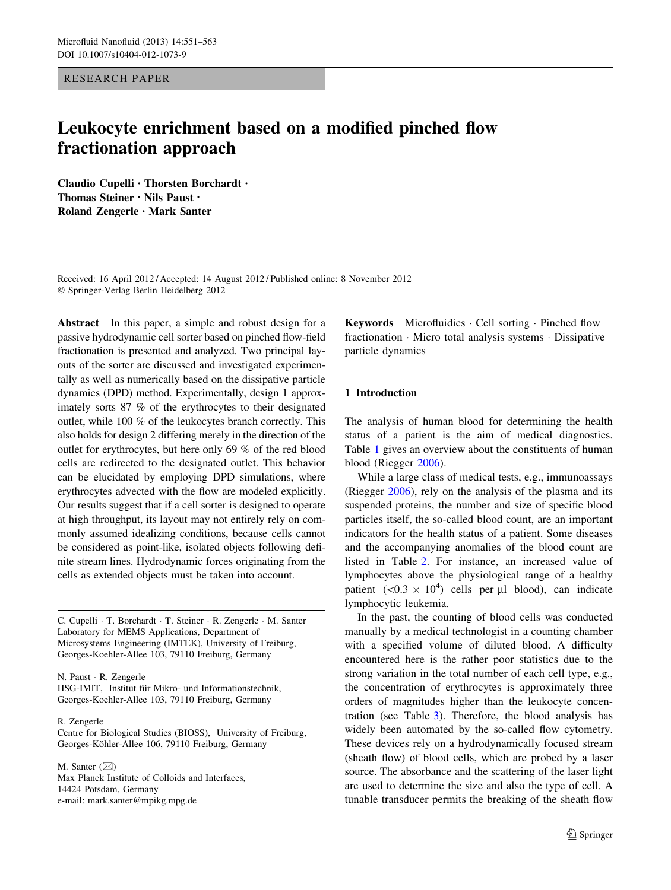RESEARCH PAPER

# Leukocyte enrichment based on a modified pinched flow fractionation approach

Claudio Cupelli • Thorsten Borchardt • Thomas Steiner • Nils Paust • Roland Zengerle • Mark Santer

Received: 16 April 2012 / Accepted: 14 August 2012 / Published online: 8 November 2012 - Springer-Verlag Berlin Heidelberg 2012

Abstract In this paper, a simple and robust design for a passive hydrodynamic cell sorter based on pinched flow-field fractionation is presented and analyzed. Two principal layouts of the sorter are discussed and investigated experimentally as well as numerically based on the dissipative particle dynamics (DPD) method. Experimentally, design 1 approximately sorts 87 % of the erythrocytes to their designated outlet, while 100 % of the leukocytes branch correctly. This also holds for design 2 differing merely in the direction of the outlet for erythrocytes, but here only 69 % of the red blood cells are redirected to the designated outlet. This behavior can be elucidated by employing DPD simulations, where erythrocytes advected with the flow are modeled explicitly. Our results suggest that if a cell sorter is designed to operate at high throughput, its layout may not entirely rely on commonly assumed idealizing conditions, because cells cannot be considered as point-like, isolated objects following definite stream lines. Hydrodynamic forces originating from the cells as extended objects must be taken into account.

C. Cupelli · T. Borchardt · T. Steiner · R. Zengerle · M. Santer Laboratory for MEMS Applications, Department of Microsystems Engineering (IMTEK), University of Freiburg, Georges-Koehler-Allee 103, 79110 Freiburg, Germany

N. Paust - R. Zengerle HSG-IMIT, Institut für Mikro- und Informationstechnik, Georges-Koehler-Allee 103, 79110 Freiburg, Germany

R. Zengerle

Centre for Biological Studies (BIOSS), University of Freiburg, Georges-Köhler-Allee 106, 79110 Freiburg, Germany

M. Santer  $(\boxtimes)$ Max Planck Institute of Colloids and Interfaces, 14424 Potsdam, Germany e-mail: mark.santer@mpikg.mpg.de

Keywords Microfluidics - Cell sorting - Pinched flow fractionation - Micro total analysis systems - Dissipative particle dynamics

## 1 Introduction

The analysis of human blood for determining the health status of a patient is the aim of medical diagnostics. Table [1](#page-1-0) gives an overview about the constituents of human blood (Riegger [2006\)](#page-11-0).

While a large class of medical tests, e.g., immunoassays (Riegger [2006\)](#page-11-0), rely on the analysis of the plasma and its suspended proteins, the number and size of specific blood particles itself, the so-called blood count, are an important indicators for the health status of a patient. Some diseases and the accompanying anomalies of the blood count are listed in Table [2.](#page-1-0) For instance, an increased value of lymphocytes above the physiological range of a healthy patient  $(<0.3 \times 10^4)$  cells per µl blood), can indicate lymphocytic leukemia.

In the past, the counting of blood cells was conducted manually by a medical technologist in a counting chamber with a specified volume of diluted blood. A difficulty encountered here is the rather poor statistics due to the strong variation in the total number of each cell type, e.g., the concentration of erythrocytes is approximately three orders of magnitudes higher than the leukocyte concentration (see Table [3\)](#page-1-0). Therefore, the blood analysis has widely been automated by the so-called flow cytometry. These devices rely on a hydrodynamically focused stream (sheath flow) of blood cells, which are probed by a laser source. The absorbance and the scattering of the laser light are used to determine the size and also the type of cell. A tunable transducer permits the breaking of the sheath flow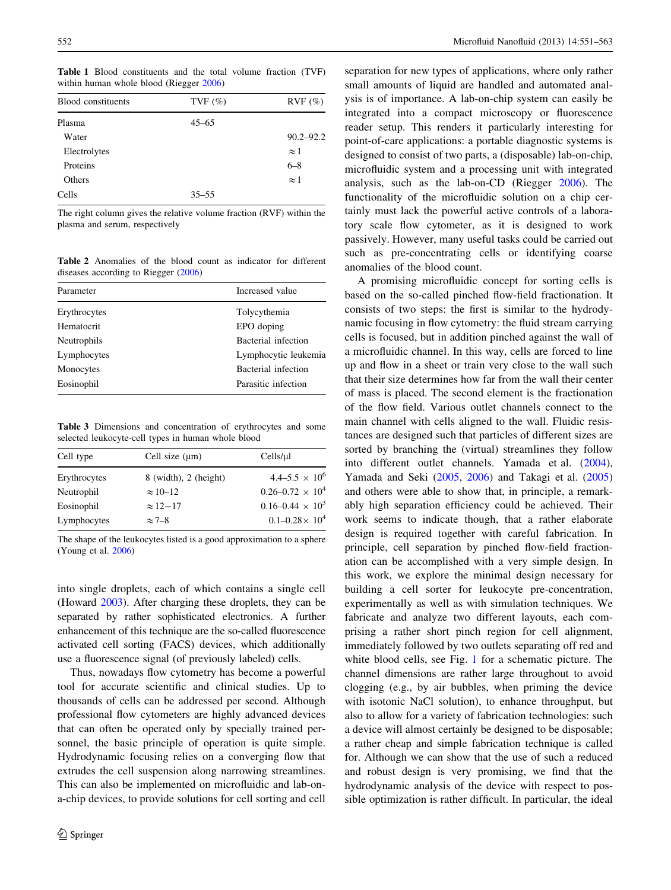<span id="page-1-0"></span>Table 1 Blood constituents and the total volume fraction (TVF) within human whole blood (Riegger [2006\)](#page-11-0)

| <b>Blood</b> constituents | TVF $(\% )$ | $RVF$ $(\%)$  |
|---------------------------|-------------|---------------|
| Plasma                    | $45 - 65$   |               |
| Water                     |             | $90.2 - 92.2$ |
| Electrolytes              |             | $\approx$ 1   |
| Proteins                  |             | $6 - 8$       |
| Others                    |             | $\approx$ 1   |
| Cells                     | $35 - 55$   |               |
|                           |             |               |

The right column gives the relative volume fraction (RVF) within the plasma and serum, respectively

Table 2 Anomalies of the blood count as indicator for different diseases according to Riegger ([2006\)](#page-11-0)

| Parameter          | Increased value      |  |
|--------------------|----------------------|--|
| Erythrocytes       | Tolycythemia         |  |
| Hematocrit         | EPO doping           |  |
| <b>Neutrophils</b> | Bacterial infection  |  |
| Lymphocytes        | Lymphocytic leukemia |  |
| Monocytes          | Bacterial infection  |  |
| Eosinophil         | Parasitic infection  |  |

Table 3 Dimensions and concentration of erythrocytes and some selected leukocyte-cell types in human whole blood

| Cell type    | Cell size $(\mu m)$       | Cells/µl                  |
|--------------|---------------------------|---------------------------|
| Erythrocytes | $8$ (width), $2$ (height) | $4.4 - 5.5 \times 10^6$   |
| Neutrophil   | $\approx 10-12$           | $0.26 - 0.72 \times 10^4$ |
| Eosinophil   | $\approx$ 12-17           | $0.16 - 0.44 \times 10^3$ |
| Lymphocytes  | $\approx$ 7-8             | $0.1 - 0.28 \times 10^4$  |

The shape of the leukocytes listed is a good approximation to a sphere (Young et al. [2006\)](#page-11-0)

into single droplets, each of which contains a single cell (Howard [2003](#page-11-0)). After charging these droplets, they can be separated by rather sophisticated electronics. A further enhancement of this technique are the so-called fluorescence activated cell sorting (FACS) devices, which additionally use a fluorescence signal (of previously labeled) cells.

Thus, nowadays flow cytometry has become a powerful tool for accurate scientific and clinical studies. Up to thousands of cells can be addressed per second. Although professional flow cytometers are highly advanced devices that can often be operated only by specially trained personnel, the basic principle of operation is quite simple. Hydrodynamic focusing relies on a converging flow that extrudes the cell suspension along narrowing streamlines. This can also be implemented on microfluidic and lab-ona-chip devices, to provide solutions for cell sorting and cell separation for new types of applications, where only rather small amounts of liquid are handled and automated analysis is of importance. A lab-on-chip system can easily be integrated into a compact microscopy or fluorescence reader setup. This renders it particularly interesting for point-of-care applications: a portable diagnostic systems is designed to consist of two parts, a (disposable) lab-on-chip, microfluidic system and a processing unit with integrated analysis, such as the lab-on-CD (Riegger [2006](#page-11-0)). The functionality of the microfluidic solution on a chip certainly must lack the powerful active controls of a laboratory scale flow cytometer, as it is designed to work passively. However, many useful tasks could be carried out such as pre-concentrating cells or identifying coarse anomalies of the blood count.

A promising microfluidic concept for sorting cells is based on the so-called pinched flow-field fractionation. It consists of two steps: the first is similar to the hydrodynamic focusing in flow cytometry: the fluid stream carrying cells is focused, but in addition pinched against the wall of a microfluidic channel. In this way, cells are forced to line up and flow in a sheet or train very close to the wall such that their size determines how far from the wall their center of mass is placed. The second element is the fractionation of the flow field. Various outlet channels connect to the main channel with cells aligned to the wall. Fluidic resistances are designed such that particles of different sizes are sorted by branching the (virtual) streamlines they follow into different outlet channels. Yamada et al. [\(2004](#page-12-0)), Yamada and Seki ([2005,](#page-12-0) [2006\)](#page-12-0) and Takagi et al. ([2005\)](#page-11-0) and others were able to show that, in principle, a remarkably high separation efficiency could be achieved. Their work seems to indicate though, that a rather elaborate design is required together with careful fabrication. In principle, cell separation by pinched flow-field fractionation can be accomplished with a very simple design. In this work, we explore the minimal design necessary for building a cell sorter for leukocyte pre-concentration, experimentally as well as with simulation techniques. We fabricate and analyze two different layouts, each comprising a rather short pinch region for cell alignment, immediately followed by two outlets separating off red and white blood cells, see Fig. [1](#page-2-0) for a schematic picture. The channel dimensions are rather large throughout to avoid clogging (e.g., by air bubbles, when priming the device with isotonic NaCl solution), to enhance throughput, but also to allow for a variety of fabrication technologies: such a device will almost certainly be designed to be disposable; a rather cheap and simple fabrication technique is called for. Although we can show that the use of such a reduced and robust design is very promising, we find that the hydrodynamic analysis of the device with respect to possible optimization is rather difficult. In particular, the ideal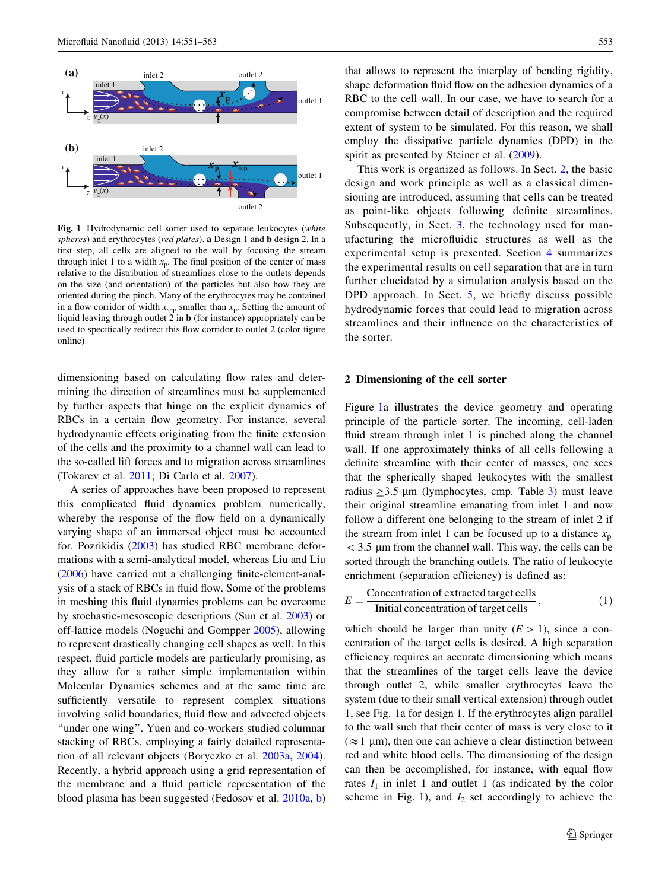<span id="page-2-0"></span>

Fig. 1 Hydrodynamic cell sorter used to separate leukocytes (white spheres) and erythrocytes (red plates). a Design 1 and b design 2. In a first step, all cells are aligned to the wall by focusing the stream through inlet 1 to a width  $x_p$ . The final position of the center of mass relative to the distribution of streamlines close to the outlets depends on the size (and orientation) of the particles but also how they are oriented during the pinch. Many of the erythrocytes may be contained in a flow corridor of width  $x_{sep}$  smaller than  $x_p$ . Setting the amount of liquid leaving through outlet  $2$  in  $\bf{b}$  (for instance) appropriately can be used to specifically redirect this flow corridor to outlet 2 (color figure online)

dimensioning based on calculating flow rates and determining the direction of streamlines must be supplemented by further aspects that hinge on the explicit dynamics of RBCs in a certain flow geometry. For instance, several hydrodynamic effects originating from the finite extension of the cells and the proximity to a channel wall can lead to the so-called lift forces and to migration across streamlines (Tokarev et al. [2011;](#page-11-0) Di Carlo et al. [2007](#page-11-0)).

A series of approaches have been proposed to represent this complicated fluid dynamics problem numerically, whereby the response of the flow field on a dynamically varying shape of an immersed object must be accounted for. Pozrikidis ([2003\)](#page-11-0) has studied RBC membrane deformations with a semi-analytical model, whereas Liu and Liu [\(2006](#page-11-0)) have carried out a challenging finite-element-analysis of a stack of RBCs in fluid flow. Some of the problems in meshing this fluid dynamics problems can be overcome by stochastic-mesoscopic descriptions (Sun et al. [2003](#page-11-0)) or off-lattice models (Noguchi and Gompper [2005](#page-11-0)), allowing to represent drastically changing cell shapes as well. In this respect, fluid particle models are particularly promising, as they allow for a rather simple implementation within Molecular Dynamics schemes and at the same time are sufficiently versatile to represent complex situations involving solid boundaries, fluid flow and advected objects "under one wing". Yuen and co-workers studied columnar stacking of RBCs, employing a fairly detailed representation of all relevant objects (Boryczko et al. [2003a](#page-11-0), [2004](#page-11-0)). Recently, a hybrid approach using a grid representation of the membrane and a fluid particle representation of the blood plasma has been suggested (Fedosov et al. [2010a](#page-11-0), [b\)](#page-11-0)

that allows to represent the interplay of bending rigidity, shape deformation fluid flow on the adhesion dynamics of a RBC to the cell wall. In our case, we have to search for a compromise between detail of description and the required extent of system to be simulated. For this reason, we shall employ the dissipative particle dynamics (DPD) in the spirit as presented by Steiner et al.  $(2009)$  $(2009)$ .

This work is organized as follows. In Sect. 2, the basic design and work principle as well as a classical dimensioning are introduced, assuming that cells can be treated as point-like objects following definite streamlines. Subsequently, in Sect. [3,](#page-3-0) the technology used for manufacturing the microfluidic structures as well as the experimental setup is presented. Section [4](#page-4-0) summarizes the experimental results on cell separation that are in turn further elucidated by a simulation analysis based on the DPD approach. In Sect. [5](#page-8-0), we briefly discuss possible hydrodynamic forces that could lead to migration across streamlines and their influence on the characteristics of the sorter.

## 2 Dimensioning of the cell sorter

Figure 1a illustrates the device geometry and operating principle of the particle sorter. The incoming, cell-laden fluid stream through inlet 1 is pinched along the channel wall. If one approximately thinks of all cells following a definite streamline with their center of masses, one sees that the spherically shaped leukocytes with the smallest radius  $\geq$ [3](#page-1-0).5 µm (lymphocytes, cmp. Table 3) must leave their original streamline emanating from inlet 1 and now follow a different one belonging to the stream of inlet 2 if the stream from inlet 1 can be focused up to a distance  $x_p$  $<$  3.5 µm from the channel wall. This way, the cells can be sorted through the branching outlets. The ratio of leukocyte enrichment (separation efficiency) is defined as:

$$
E = \frac{\text{Concentration of extracted target cells}}{\text{Initial concentration of target cells}},\tag{1}
$$

which should be larger than unity  $(E>1)$ , since a concentration of the target cells is desired. A high separation efficiency requires an accurate dimensioning which means that the streamlines of the target cells leave the device through outlet 2, while smaller erythrocytes leave the system (due to their small vertical extension) through outlet 1, see Fig. 1a for design 1. If the erythrocytes align parallel to the wall such that their center of mass is very close to it  $(\approx 1 \mu m)$ , then one can achieve a clear distinction between red and white blood cells. The dimensioning of the design can then be accomplished, for instance, with equal flow rates  $I_1$  in inlet 1 and outlet 1 (as indicated by the color scheme in Fig. 1), and  $I_2$  set accordingly to achieve the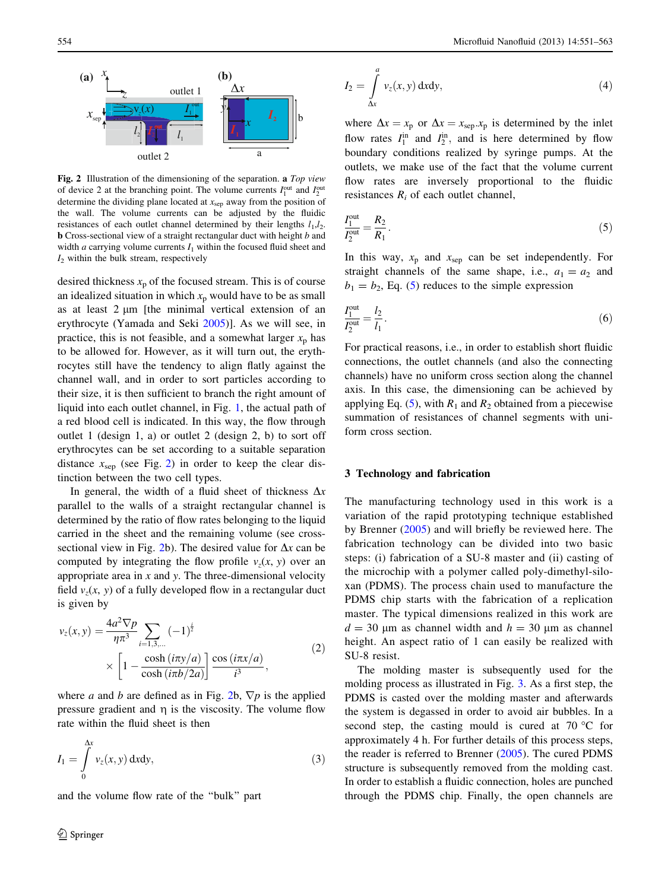<span id="page-3-0"></span>

Fig. 2 Illustration of the dimensioning of the separation. a Top view of device 2 at the branching point. The volume currents  $I_1^{\text{out}}$  and  $I_2^{\text{out}}$ determine the dividing plane located at  $x_{\text{sep}}$  away from the position of the wall. The volume currents can be adjusted by the fluidic resistances of each outlet channel determined by their lengths  $l_1, l_2$ . **b** Cross-sectional view of a straight rectangular duct with height b and width a carrying volume currents  $I_1$  within the focused fluid sheet and  $I_2$  within the bulk stream, respectively

desired thickness  $x_p$  of the focused stream. This is of course an idealized situation in which  $x<sub>p</sub>$  would have to be as small as at least  $2 \mu m$  [the minimal vertical extension of an erythrocyte (Yamada and Seki [2005](#page-12-0))]. As we will see, in practice, this is not feasible, and a somewhat larger  $x_p$  has to be allowed for. However, as it will turn out, the erythrocytes still have the tendency to align flatly against the channel wall, and in order to sort particles according to their size, it is then sufficient to branch the right amount of liquid into each outlet channel, in Fig. [1,](#page-2-0) the actual path of a red blood cell is indicated. In this way, the flow through outlet 1 (design 1, a) or outlet 2 (design 2, b) to sort off erythrocytes can be set according to a suitable separation distance  $x_{\rm sep}$  (see Fig. 2) in order to keep the clear distinction between the two cell types.

In general, the width of a fluid sheet of thickness  $\Delta x$ parallel to the walls of a straight rectangular channel is determined by the ratio of flow rates belonging to the liquid carried in the sheet and the remaining volume (see crosssectional view in Fig. 2b). The desired value for  $\Delta x$  can be computed by integrating the flow profile  $v_z(x, y)$  over an appropriate area in  $x$  and  $y$ . The three-dimensional velocity field  $v_7(x, y)$  of a fully developed flow in a rectangular duct is given by

$$
v_z(x, y) = \frac{4a^2 \nabla p}{\eta \pi^3} \sum_{i=1,3,...} (-1)^{\frac{i}{2}} \times \left[1 - \frac{\cosh(i\pi y/a)}{\cosh(i\pi b/2a)}\right] \frac{\cos(i\pi x/a)}{i^3},
$$
 (2)

where a and b are defined as in Fig. 2b,  $\nabla p$  is the applied pressure gradient and  $\eta$  is the viscosity. The volume flow rate within the fluid sheet is then

$$
I_1 = \int\limits_0^{\Delta x} v_z(x, y) \, \mathrm{d}x \mathrm{d}y,\tag{3}
$$

and the volume flow rate of the ''bulk'' part

$$
I_2 = \int_{\Delta x}^{\tilde{}} v_z(x, y) \, dxdy,
$$
 (4)

Za

where  $\Delta x = x_p$  or  $\Delta x = x_{sep}.x_p$  is determined by the inlet flow rates  $I_1^{\text{in}}$  and  $I_2^{\text{in}}$ , and is here determined by flow boundary conditions realized by syringe pumps. At the outlets, we make use of the fact that the volume current flow rates are inversely proportional to the fluidic resistances  $R_i$  of each outlet channel,

$$
\frac{I_1^{\text{out}}}{I_2^{\text{out}}} = \frac{R_2}{R_1}.
$$
 (5)

In this way,  $x_p$  and  $x_{sep}$  can be set independently. For straight channels of the same shape, i.e.,  $a_1 = a_2$  and  $b_1 = b_2$ , Eq. (5) reduces to the simple expression

$$
\frac{I_1^{\text{out}}}{I_2^{\text{out}}} = \frac{l_2}{l_1}.
$$
\n
$$
(6)
$$

For practical reasons, i.e., in order to establish short fluidic connections, the outlet channels (and also the connecting channels) have no uniform cross section along the channel axis. In this case, the dimensioning can be achieved by applying Eq. (5), with  $R_1$  and  $R_2$  obtained from a piecewise summation of resistances of channel segments with uniform cross section.

## 3 Technology and fabrication

The manufacturing technology used in this work is a variation of the rapid prototyping technique established by Brenner ([2005](#page-11-0)) and will briefly be reviewed here. The fabrication technology can be divided into two basic steps: (i) fabrication of a SU-8 master and (ii) casting of the microchip with a polymer called poly-dimethyl-siloxan (PDMS). The process chain used to manufacture the PDMS chip starts with the fabrication of a replication master. The typical dimensions realized in this work are  $d = 30 \mu m$  as channel width and  $h = 30 \mu m$  as channel height. An aspect ratio of 1 can easily be realized with SU-8 resist.

The molding master is subsequently used for the molding process as illustrated in Fig. [3.](#page-4-0) As a first step, the PDMS is casted over the molding master and afterwards the system is degassed in order to avoid air bubbles. In a second step, the casting mould is cured at  $70^{\circ}$ C for approximately 4 h. For further details of this process steps, the reader is referred to Brenner [\(2005](#page-11-0)). The cured PDMS structure is subsequently removed from the molding cast. In order to establish a fluidic connection, holes are punched through the PDMS chip. Finally, the open channels are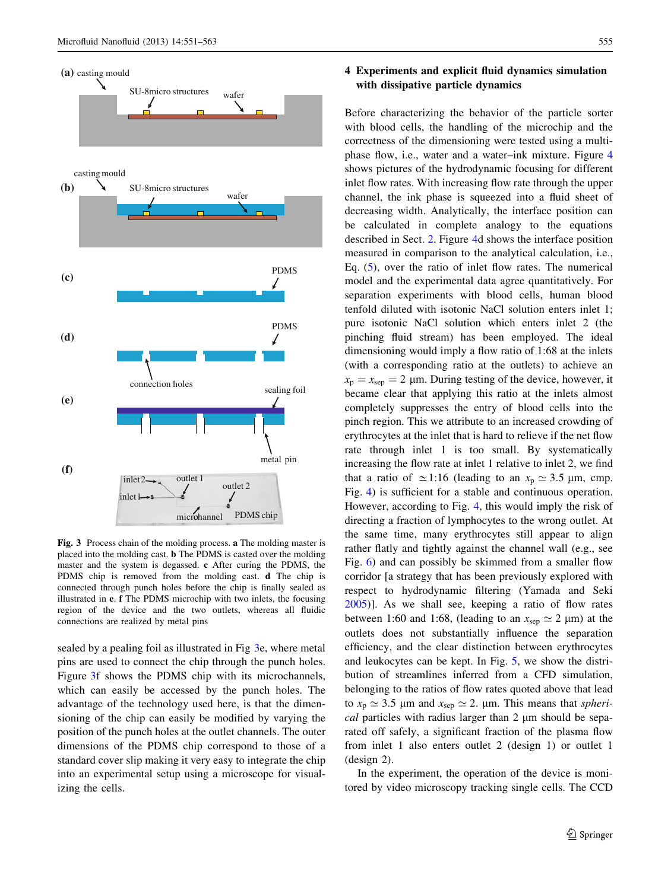<span id="page-4-0"></span>

Fig. 3 Process chain of the molding process. a The molding master is placed into the molding cast. b The PDMS is casted over the molding master and the system is degassed. c After curing the PDMS, the PDMS chip is removed from the molding cast. d The chip is connected through punch holes before the chip is finally sealed as illustrated in e. f The PDMS microchip with two inlets, the focusing region of the device and the two outlets, whereas all fluidic connections are realized by metal pins

sealed by a pealing foil as illustrated in Fig 3e, where metal pins are used to connect the chip through the punch holes. Figure 3f shows the PDMS chip with its microchannels, which can easily be accessed by the punch holes. The advantage of the technology used here, is that the dimensioning of the chip can easily be modified by varying the position of the punch holes at the outlet channels. The outer dimensions of the PDMS chip correspond to those of a standard cover slip making it very easy to integrate the chip into an experimental setup using a microscope for visualizing the cells.

# 4 Experiments and explicit fluid dynamics simulation with dissipative particle dynamics

Before characterizing the behavior of the particle sorter with blood cells, the handling of the microchip and the correctness of the dimensioning were tested using a multiphase flow, i.e., water and a water–ink mixture. Figure [4](#page-5-0) shows pictures of the hydrodynamic focusing for different inlet flow rates. With increasing flow rate through the upper channel, the ink phase is squeezed into a fluid sheet of decreasing width. Analytically, the interface position can be calculated in complete analogy to the equations described in Sect. [2.](#page-2-0) Figure [4](#page-5-0)d shows the interface position measured in comparison to the analytical calculation, i.e., Eq. [\(5](#page-3-0)), over the ratio of inlet flow rates. The numerical model and the experimental data agree quantitatively. For separation experiments with blood cells, human blood tenfold diluted with isotonic NaCl solution enters inlet 1; pure isotonic NaCl solution which enters inlet 2 (the pinching fluid stream) has been employed. The ideal dimensioning would imply a flow ratio of 1:68 at the inlets (with a corresponding ratio at the outlets) to achieve an  $x_p = x_{sep} = 2 \mu m$ . During testing of the device, however, it became clear that applying this ratio at the inlets almost completely suppresses the entry of blood cells into the pinch region. This we attribute to an increased crowding of erythrocytes at the inlet that is hard to relieve if the net flow rate through inlet 1 is too small. By systematically increasing the flow rate at inlet 1 relative to inlet 2, we find that a ratio of  $\simeq$  1:16 (leading to an  $x_p \simeq 3.5$  µm, cmp. Fig. [4](#page-5-0)) is sufficient for a stable and continuous operation. However, according to Fig. [4,](#page-5-0) this would imply the risk of directing a fraction of lymphocytes to the wrong outlet. At the same time, many erythrocytes still appear to align rather flatly and tightly against the channel wall (e.g., see Fig. [6](#page-5-0)) and can possibly be skimmed from a smaller flow corridor [a strategy that has been previously explored with respect to hydrodynamic filtering (Yamada and Seki [2005](#page-12-0))]. As we shall see, keeping a ratio of flow rates between 1:60 and 1:68, (leading to an  $x_{\text{sep}} \simeq 2 \mu \text{m}$ ) at the outlets does not substantially influence the separation efficiency, and the clear distinction between erythrocytes and leukocytes can be kept. In Fig. [5](#page-5-0), we show the distribution of streamlines inferred from a CFD simulation, belonging to the ratios of flow rates quoted above that lead to  $x_p \approx 3.5$  µm and  $x_{sep} \approx 2$ . µm. This means that *spheri* $cal$  particles with radius larger than 2  $\mu$ m should be separated off safely, a significant fraction of the plasma flow from inlet 1 also enters outlet 2 (design 1) or outlet 1 (design 2).

In the experiment, the operation of the device is monitored by video microscopy tracking single cells. The CCD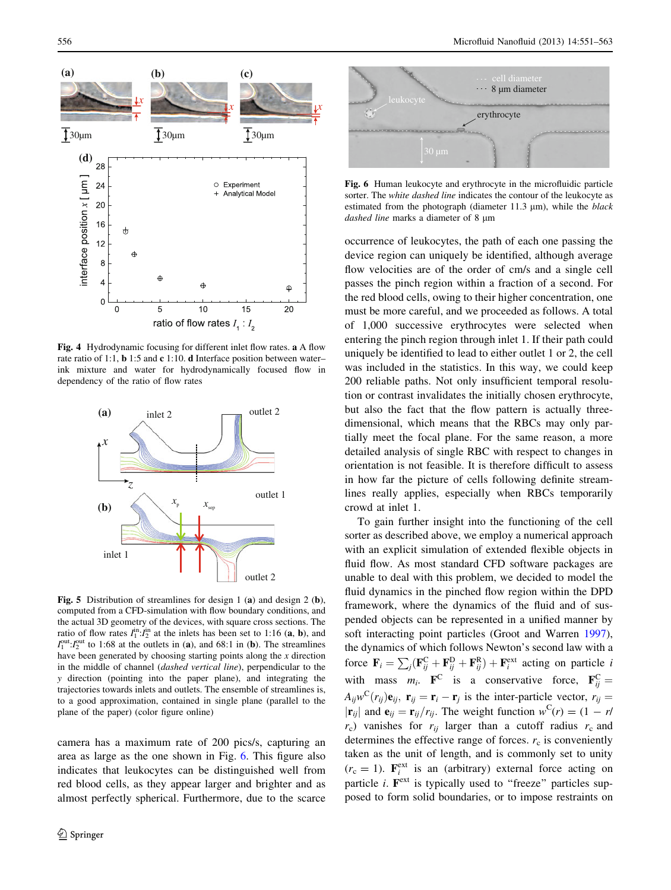<span id="page-5-0"></span>

Fig. 4 Hydrodynamic focusing for different inlet flow rates. a A flow rate ratio of 1:1, b 1:5 and c 1:10. d Interface position between water– ink mixture and water for hydrodynamically focused flow in dependency of the ratio of flow rates



Fig. 5 Distribution of streamlines for design 1 (a) and design 2 (b), computed from a CFD-simulation with flow boundary conditions, and the actual 3D geometry of the devices, with square cross sections. The ratio of flow rates  $I_1^{\text{in}} \cdot I_2^{\text{in}}$  at the inlets has been set to 1:16 (a, b), and  $I_1^{\text{out}}$ : $I_2^{\text{out}}$  to 1:68 at the outlets in (a), and 68:1 in (b). The streamlines have been generated by choosing starting points along the  $x$  direction in the middle of channel (dashed vertical line), perpendicular to the y direction (pointing into the paper plane), and integrating the trajectories towards inlets and outlets. The ensemble of streamlines is, to a good approximation, contained in single plane (parallel to the plane of the paper) (color figure online)

camera has a maximum rate of 200 pics/s, capturing an area as large as the one shown in Fig. 6. This figure also indicates that leukocytes can be distinguished well from red blood cells, as they appear larger and brighter and as almost perfectly spherical. Furthermore, due to the scarce



Fig. 6 Human leukocyte and erythrocyte in the microfluidic particle sorter. The white dashed line indicates the contour of the leukocyte as estimated from the photograph (diameter  $11.3 \mu m$ ), while the *black* dashed line marks a diameter of 8 µm

occurrence of leukocytes, the path of each one passing the device region can uniquely be identified, although average flow velocities are of the order of cm/s and a single cell passes the pinch region within a fraction of a second. For the red blood cells, owing to their higher concentration, one must be more careful, and we proceeded as follows. A total of 1,000 successive erythrocytes were selected when entering the pinch region through inlet 1. If their path could uniquely be identified to lead to either outlet 1 or 2, the cell was included in the statistics. In this way, we could keep 200 reliable paths. Not only insufficient temporal resolution or contrast invalidates the initially chosen erythrocyte, but also the fact that the flow pattern is actually threedimensional, which means that the RBCs may only partially meet the focal plane. For the same reason, a more detailed analysis of single RBC with respect to changes in orientation is not feasible. It is therefore difficult to assess in how far the picture of cells following definite streamlines really applies, especially when RBCs temporarily crowd at inlet 1.

To gain further insight into the functioning of the cell sorter as described above, we employ a numerical approach with an explicit simulation of extended flexible objects in fluid flow. As most standard CFD software packages are unable to deal with this problem, we decided to model the fluid dynamics in the pinched flow region within the DPD framework, where the dynamics of the fluid and of suspended objects can be represented in a unified manner by soft interacting point particles (Groot and Warren [1997](#page-11-0)), the dynamics of which follows Newton's second law with a force  $\mathbf{F}_i = \sum_j (\mathbf{F}_{ij}^{\text{C}} + \mathbf{F}_{ij}^{\text{D}} + \mathbf{F}_{ij}^{\text{R}}) + \mathbf{F}_i^{\text{ext}}$  acting on particle *i* with mass  $m_i$ . **F**<sup>C</sup> is a conservative force, **F**<sub>ij</sub><sup>C</sup>  $A_{ij}w^{C}(r_{ij})\mathbf{e}_{ij}$ ,  $\mathbf{r}_{ij} = \mathbf{r}_{i} - \mathbf{r}_{j}$  is the inter-particle vector,  $r_{ij} =$  $|\mathbf{r}_{ij}|$  and  $\mathbf{e}_{ij} = \mathbf{r}_{ij}/r_{ij}$ . The weight function  $w^{\text{C}}(r) = (1 - r/\sqrt{r_{ij}})$  $r_c$ ) vanishes for  $r_{ij}$  larger than a cutoff radius  $r_c$  and determines the effective range of forces.  $r_c$  is conveniently taken as the unit of length, and is commonly set to unity  $(r_c = 1)$ .  $\mathbf{F}_i^{\text{ext}}$  is an (arbitrary) external force acting on particle *i*.  $\mathbf{F}^{\text{ext}}$  is typically used to "freeze" particles supposed to form solid boundaries, or to impose restraints on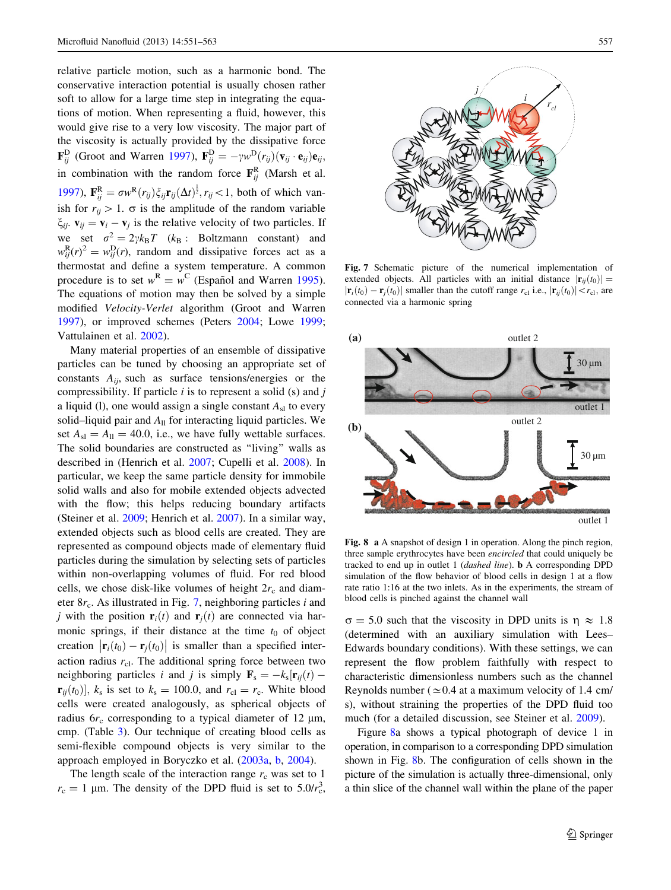<span id="page-6-0"></span>relative particle motion, such as a harmonic bond. The conservative interaction potential is usually chosen rather soft to allow for a large time step in integrating the equations of motion. When representing a fluid, however, this would give rise to a very low viscosity. The major part of the viscosity is actually provided by the dissipative force  $\mathbf{F}_{ij}^{\text{D}}$  (Groot and Warren [1997\)](#page-11-0),  $\mathbf{F}_{ij}^{\text{D}} = -\gamma w^{\text{D}}(r_{ij})(\mathbf{v}_{ij} \cdot \mathbf{e}_{ij})\mathbf{e}_{ij}$ , in combination with the random force  $\mathbf{F}_{ij}^{\text{R}}$  (Marsh et al. [1997\)](#page-11-0),  $\mathbf{F}_{ij}^{\text{R}} = \sigma w^{\text{R}}(r_{ij}) \xi_{ij} \mathbf{r}_{ij} (\Delta t)^{\frac{1}{2}}, r_{ij} < 1$ , both of which vanish for  $r_{ii} > 1$ .  $\sigma$  is the amplitude of the random variable  $\xi_{ii}$ .  $\mathbf{v}_{ii} = \mathbf{v}_i - \mathbf{v}_j$  is the relative velocity of two particles. If we set  $\sigma^2 = 2\gamma k_B T$  ( $k_B$  : Boltzmann constant) and  $w_{ij}^{\rm R}(r)^2 = w_{ij}^{\rm D}(r)$ , random and dissipative forces act as a thermostat and define a system temperature. A common procedure is to set  $w^R = w^C$  (Español and Warren [1995](#page-11-0)). The equations of motion may then be solved by a simple modified Velocity-Verlet algorithm (Groot and Warren [1997\)](#page-11-0), or improved schemes (Peters [2004;](#page-11-0) Lowe [1999](#page-11-0); Vattulainen et al. [2002\)](#page-12-0).

Many material properties of an ensemble of dissipative particles can be tuned by choosing an appropriate set of constants  $A_{ii}$ , such as surface tensions/energies or the compressibility. If particle  $i$  is to represent a solid (s) and  $j$ a liquid (l), one would assign a single constant  $A_{s}$  to every solid–liquid pair and  $A_{\rm ll}$  for interacting liquid particles. We set  $A_{\rm sl} = A_{\rm ll} = 40.0$ , i.e., we have fully wettable surfaces. The solid boundaries are constructed as ''living'' walls as described in (Henrich et al. [2007;](#page-11-0) Cupelli et al. [2008](#page-11-0)). In particular, we keep the same particle density for immobile solid walls and also for mobile extended objects advected with the flow; this helps reducing boundary artifacts (Steiner et al. [2009;](#page-11-0) Henrich et al. [2007](#page-11-0)). In a similar way, extended objects such as blood cells are created. They are represented as compound objects made of elementary fluid particles during the simulation by selecting sets of particles within non-overlapping volumes of fluid. For red blood cells, we chose disk-like volumes of height  $2r_c$  and diameter  $8r_c$ . As illustrated in Fig. 7, neighboring particles *i* and j with the position  $\mathbf{r}_i(t)$  and  $\mathbf{r}_j(t)$  are connected via harmonic springs, if their distance at the time  $t_0$  of object creation  $\left| \mathbf{r}_i(t_0) - \mathbf{r}_j(t_0) \right|$  is smaller than a specified interaction radius  $r_{\text{cl}}$ . The additional spring force between two neighboring particles i and j is simply  $\mathbf{F}_s = -k_s \mathbf{r}_{ij}(t) \mathbf{r}_{ii}(t_0)$ ,  $k_s$  is set to  $k_s = 100.0$ , and  $r_{cl} = r_c$ . White blood cells were created analogously, as spherical objects of radius  $6r_c$  corresponding to a typical diameter of 12  $\mu$ m, cmp. (Table [3](#page-1-0)). Our technique of creating blood cells as semi-flexible compound objects is very similar to the approach employed in Boryczko et al. [\(2003a,](#page-11-0) [b](#page-11-0), [2004](#page-11-0)).

The length scale of the interaction range  $r_c$  was set to 1  $r_c = 1 \mu m$ . The density of the DPD fluid is set to 5.0/ $r_c^3$ ,



Fig. 7 Schematic picture of the numerical implementation of extended objects. All particles with an initial distance  $|\mathbf{r}_{ii}(t_0)| =$  $|\mathbf{r}_i(t_0) - \mathbf{r}_i(t_0)|$  smaller than the cutoff range  $r_{\text{cl}}$  i.e.,  $|\mathbf{r}_{ij}(t_0)| < r_{\text{cl}}$ , are connected via a harmonic spring



Fig. 8 a A snapshot of design 1 in operation. Along the pinch region, three sample erythrocytes have been encircled that could uniquely be tracked to end up in outlet 1 (dashed line). b A corresponding DPD simulation of the flow behavior of blood cells in design 1 at a flow rate ratio 1:16 at the two inlets. As in the experiments, the stream of blood cells is pinched against the channel wall

 $\sigma = 5.0$  such that the viscosity in DPD units is  $\eta \approx 1.8$ (determined with an auxiliary simulation with Lees– Edwards boundary conditions). With these settings, we can represent the flow problem faithfully with respect to characteristic dimensionless numbers such as the channel Reynolds number ( $\simeq$  0.4 at a maximum velocity of 1.4 cm/ s), without straining the properties of the DPD fluid too much (for a detailed discussion, see Steiner et al. [2009\)](#page-11-0).

Figure 8a shows a typical photograph of device 1 in operation, in comparison to a corresponding DPD simulation shown in Fig. 8b. The configuration of cells shown in the picture of the simulation is actually three-dimensional, only a thin slice of the channel wall within the plane of the paper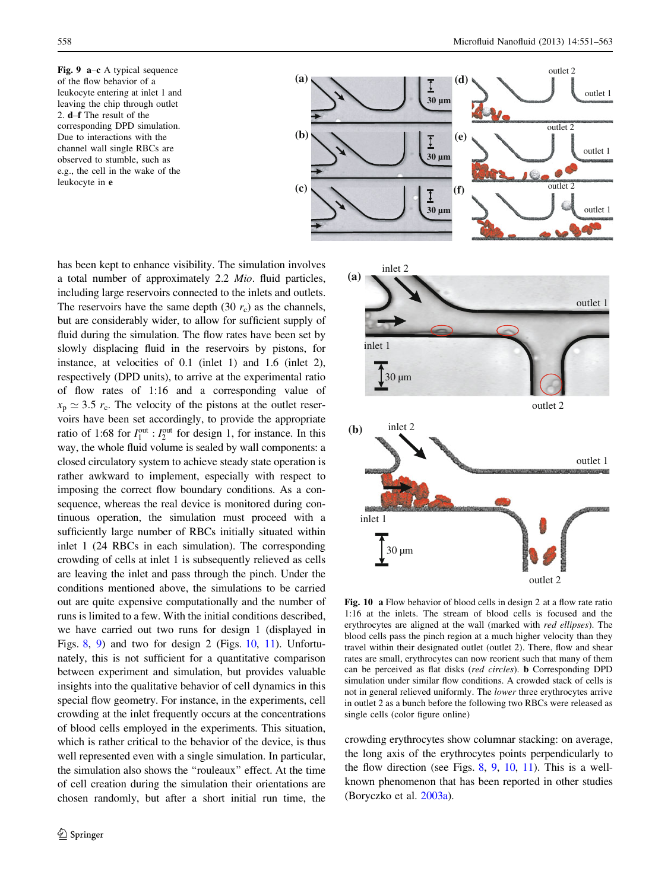<span id="page-7-0"></span>Fig. 9 a–c A typical sequence of the flow behavior of a leukocyte entering at inlet 1 and leaving the chip through outlet 2. d–f The result of the corresponding DPD simulation. Due to interactions with the channel wall single RBCs are observed to stumble, such as e.g., the cell in the wake of the leukocyte in e



has been kept to enhance visibility. The simulation involves a total number of approximately 2.2 Mio. fluid particles, including large reservoirs connected to the inlets and outlets. The reservoirs have the same depth (30  $r_c$ ) as the channels, but are considerably wider, to allow for sufficient supply of fluid during the simulation. The flow rates have been set by slowly displacing fluid in the reservoirs by pistons, for instance, at velocities of 0.1 (inlet 1) and 1.6 (inlet 2), respectively (DPD units), to arrive at the experimental ratio of flow rates of 1:16 and a corresponding value of  $x_p \approx 3.5$  r<sub>c</sub>. The velocity of the pistons at the outlet reservoirs have been set accordingly, to provide the appropriate ratio of 1:68 for  $I_1^{\text{out}}$  :  $I_2^{\text{out}}$  for design 1, for instance. In this way, the whole fluid volume is sealed by wall components: a closed circulatory system to achieve steady state operation is rather awkward to implement, especially with respect to imposing the correct flow boundary conditions. As a consequence, whereas the real device is monitored during continuous operation, the simulation must proceed with a sufficiently large number of RBCs initially situated within inlet 1 (24 RBCs in each simulation). The corresponding crowding of cells at inlet 1 is subsequently relieved as cells are leaving the inlet and pass through the pinch. Under the conditions mentioned above, the simulations to be carried out are quite expensive computationally and the number of runs is limited to a few. With the initial conditions described, we have carried out two runs for design 1 (displayed in Figs. [8](#page-6-0), 9) and two for design 2 (Figs. 10, [11\)](#page-8-0). Unfortunately, this is not sufficient for a quantitative comparison between experiment and simulation, but provides valuable insights into the qualitative behavior of cell dynamics in this special flow geometry. For instance, in the experiments, cell crowding at the inlet frequently occurs at the concentrations of blood cells employed in the experiments. This situation, which is rather critical to the behavior of the device, is thus well represented even with a single simulation. In particular, the simulation also shows the ''rouleaux'' effect. At the time of cell creation during the simulation their orientations are chosen randomly, but after a short initial run time, the



Fig. 10 a Flow behavior of blood cells in design 2 at a flow rate ratio 1:16 at the inlets. The stream of blood cells is focused and the erythrocytes are aligned at the wall (marked with red ellipses). The blood cells pass the pinch region at a much higher velocity than they travel within their designated outlet (outlet 2). There, flow and shear rates are small, erythrocytes can now reorient such that many of them can be perceived as flat disks (red circles). b Corresponding DPD simulation under similar flow conditions. A crowded stack of cells is not in general relieved uniformly. The lower three erythrocytes arrive in outlet 2 as a bunch before the following two RBCs were released as single cells (color figure online)

crowding erythrocytes show columnar stacking: on average, the long axis of the erythrocytes points perpendicularly to the flow direction (see Figs.  $8, 9, 10, 11$  $8, 9, 10, 11$ ). This is a wellknown phenomenon that has been reported in other studies (Boryczko et al. [2003a\)](#page-11-0).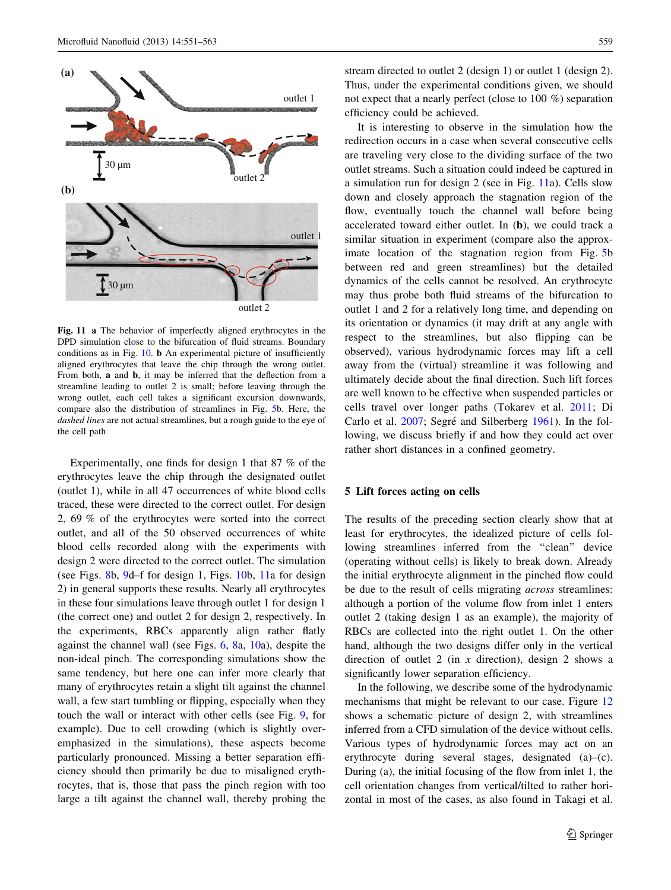<span id="page-8-0"></span>

Fig. 11 a The behavior of imperfectly aligned erythrocytes in the DPD simulation close to the bifurcation of fluid streams. Boundary conditions as in Fig. [10.](#page-7-0) b An experimental picture of insufficiently aligned erythrocytes that leave the chip through the wrong outlet. From both, a and b, it may be inferred that the deflection from a streamline leading to outlet 2 is small; before leaving through the wrong outlet, each cell takes a significant excursion downwards, compare also the distribution of streamlines in Fig. [5b](#page-5-0). Here, the dashed lines are not actual streamlines, but a rough guide to the eye of the cell path

Experimentally, one finds for design 1 that 87 % of the erythrocytes leave the chip through the designated outlet (outlet 1), while in all 47 occurrences of white blood cells traced, these were directed to the correct outlet. For design 2, 69 % of the erythrocytes were sorted into the correct outlet, and all of the 50 observed occurrences of white blood cells recorded along with the experiments with design 2 were directed to the correct outlet. The simulation (see Figs. [8](#page-6-0)b, [9](#page-7-0)d–f for design 1, Figs. [10](#page-7-0)b, 11a for design 2) in general supports these results. Nearly all erythrocytes in these four simulations leave through outlet 1 for design 1 (the correct one) and outlet 2 for design 2, respectively. In the experiments, RBCs apparently align rather flatly against the channel wall (see Figs. [6,](#page-5-0) [8](#page-6-0)a, [10a](#page-7-0)), despite the non-ideal pinch. The corresponding simulations show the same tendency, but here one can infer more clearly that many of erythrocytes retain a slight tilt against the channel wall, a few start tumbling or flipping, especially when they touch the wall or interact with other cells (see Fig. [9](#page-7-0), for example). Due to cell crowding (which is slightly overemphasized in the simulations), these aspects become particularly pronounced. Missing a better separation efficiency should then primarily be due to misaligned erythrocytes, that is, those that pass the pinch region with too large a tilt against the channel wall, thereby probing the stream directed to outlet 2 (design 1) or outlet 1 (design 2). Thus, under the experimental conditions given, we should not expect that a nearly perfect (close to 100 %) separation efficiency could be achieved.

It is interesting to observe in the simulation how the redirection occurs in a case when several consecutive cells are traveling very close to the dividing surface of the two outlet streams. Such a situation could indeed be captured in a simulation run for design 2 (see in Fig. 11a). Cells slow down and closely approach the stagnation region of the flow, eventually touch the channel wall before being accelerated toward either outlet. In (b), we could track a similar situation in experiment (compare also the approximate location of the stagnation region from Fig. [5](#page-5-0)b between red and green streamlines) but the detailed dynamics of the cells cannot be resolved. An erythrocyte may thus probe both fluid streams of the bifurcation to outlet 1 and 2 for a relatively long time, and depending on its orientation or dynamics (it may drift at any angle with respect to the streamlines, but also flipping can be observed), various hydrodynamic forces may lift a cell away from the (virtual) streamline it was following and ultimately decide about the final direction. Such lift forces are well known to be effective when suspended particles or cells travel over longer paths (Tokarev et al. [2011](#page-11-0); Di Carlo et al. [2007](#page-11-0); Segré and Silberberg [1961](#page-11-0)). In the following, we discuss briefly if and how they could act over rather short distances in a confined geometry.

## 5 Lift forces acting on cells

The results of the preceding section clearly show that at least for erythrocytes, the idealized picture of cells following streamlines inferred from the ''clean'' device (operating without cells) is likely to break down. Already the initial erythrocyte alignment in the pinched flow could be due to the result of cells migrating *across* streamlines: although a portion of the volume flow from inlet 1 enters outlet 2 (taking design 1 as an example), the majority of RBCs are collected into the right outlet 1. On the other hand, although the two designs differ only in the vertical direction of outlet 2 (in  $x$  direction), design 2 shows a significantly lower separation efficiency.

In the following, we describe some of the hydrodynamic mechanisms that might be relevant to our case. Figure [12](#page-9-0) shows a schematic picture of design 2, with streamlines inferred from a CFD simulation of the device without cells. Various types of hydrodynamic forces may act on an erythrocyte during several stages, designated (a)–(c). During (a), the initial focusing of the flow from inlet 1, the cell orientation changes from vertical/tilted to rather horizontal in most of the cases, as also found in Takagi et al.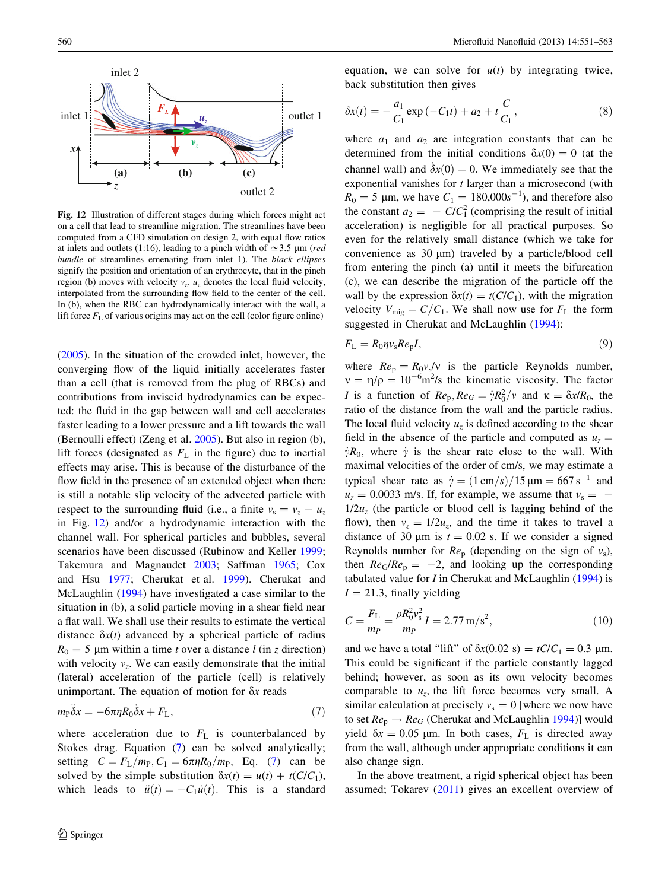<span id="page-9-0"></span>

Fig. 12 Illustration of different stages during which forces might act on a cell that lead to streamline migration. The streamlines have been computed from a CFD simulation on design 2, with equal flow ratios at inlets and outlets (1:16), leading to a pinch width of  $\simeq$  3.5 µm (red bundle of streamlines emenating from inlet 1). The black ellipses signify the position and orientation of an erythrocyte, that in the pinch region (b) moves with velocity  $v_z$ .  $u_z$  denotes the local fluid velocity, interpolated from the surrounding flow field to the center of the cell. In (b), when the RBC can hydrodynamically interact with the wall, a lift force  $F<sub>L</sub>$  of various origins may act on the cell (color figure online)

[\(2005](#page-11-0)). In the situation of the crowded inlet, however, the converging flow of the liquid initially accelerates faster than a cell (that is removed from the plug of RBCs) and contributions from inviscid hydrodynamics can be expected: the fluid in the gap between wall and cell accelerates faster leading to a lower pressure and a lift towards the wall (Bernoulli effect) (Zeng et al. [2005\)](#page-12-0). But also in region (b), lift forces (designated as  $F<sub>L</sub>$  in the figure) due to inertial effects may arise. This is because of the disturbance of the flow field in the presence of an extended object when there is still a notable slip velocity of the advected particle with respect to the surrounding fluid (i.e., a finite  $v_s = v_z - u_z$ in Fig. 12) and/or a hydrodynamic interaction with the channel wall. For spherical particles and bubbles, several scenarios have been discussed (Rubinow and Keller [1999](#page-11-0); Takemura and Magnaudet [2003](#page-11-0); Saffman [1965;](#page-11-0) Cox and Hsu [1977;](#page-11-0) Cherukat et al. [1999\)](#page-11-0). Cherukat and McLaughlin ([1994\)](#page-11-0) have investigated a case similar to the situation in (b), a solid particle moving in a shear field near a flat wall. We shall use their results to estimate the vertical distance  $\delta x(t)$  advanced by a spherical particle of radius  $R_0 = 5$  µm within a time t over a distance l (in z direction) with velocity  $v_z$ . We can easily demonstrate that the initial (lateral) acceleration of the particle (cell) is relatively unimportant. The equation of motion for  $\delta x$  reads

$$
m_{\rm P}\ddot{\delta}x = -6\pi\eta R_0 \dot{\delta}x + F_{\rm L},\tag{7}
$$

where acceleration due to  $F<sub>L</sub>$  is counterbalanced by Stokes drag. Equation (7) can be solved analytically; setting  $C = F_L/m_P$ ,  $C_1 = 6\pi\eta R_0/m_P$ , Eq. (7) can be solved by the simple substitution  $\delta x(t) = u(t) + t(C/C_1)$ , which leads to  $\ddot{u}(t) = -C_1\dot{u}(t)$ . This is a standard equation, we can solve for  $u(t)$  by integrating twice, back substitution then gives

$$
\delta x(t) = -\frac{a_1}{C_1} \exp(-C_1 t) + a_2 + t \frac{C}{C_1},
$$
\n(8)

where  $a_1$  and  $a_2$  are integration constants that can be determined from the initial conditions  $\delta x(0) = 0$  (at the channel wall) and  $\dot{\delta}x(0) = 0$ . We immediately see that the exponential vanishes for t larger than a microsecond (with  $R_0 = 5 \, \mu \text{m}$ , we have  $C_1 = 180,000s^{-1}$ , and therefore also the constant  $a_2 = -C/C_1^2$  (comprising the result of initial acceleration) is negligible for all practical purposes. So even for the relatively small distance (which we take for convenience as  $30 \mu m$ ) traveled by a particle/blood cell from entering the pinch (a) until it meets the bifurcation (c), we can describe the migration of the particle off the wall by the expression  $\delta x(t) = t(C/C_1)$ , with the migration velocity  $V_{\text{mig}} = C/C_1$ . We shall now use for  $F_L$  the form suggested in Cherukat and McLaughlin ([1994\)](#page-11-0):

$$
F_{\rm L} = R_0 \eta v_{\rm s} Re_{\rm p} I,\tag{9}
$$

where  $Re_p = R_0 v_s/v$  is the particle Reynolds number,  $v = \eta/\rho = 10^{-6} \text{m}^2/\text{s}$  the kinematic viscosity. The factor *I* is a function of  $Re_p, Re_G = \dot{\gamma} R_0^2 / \nu$  and  $\kappa = \delta x / R_0$ , the ratio of the distance from the wall and the particle radius. The local fluid velocity  $u<sub>z</sub>$  is defined according to the shear field in the absence of the particle and computed as  $u<sub>z</sub> =$  $\dot{\gamma}R_0$ , where  $\dot{\gamma}$  is the shear rate close to the wall. With maximal velocities of the order of cm/s, we may estimate a typical shear rate as  $\dot{y} = (1 \text{ cm/s})/15 \text{ }\mu\text{m} = 667 \text{ s}^{-1}$  and  $u_z = 0.0033$  m/s. If, for example, we assume that  $v_s = 1/2u_z$  (the particle or blood cell is lagging behind of the flow), then  $v_z = 1/2u_z$ , and the time it takes to travel a distance of 30  $\mu$ m is  $t = 0.02$  s. If we consider a signed Reynolds number for  $Re_p$  (depending on the sign of  $v_s$ ), then  $Re_G/Re_p = -2$ , and looking up the corresponding tabulated value for  $I$  in Cherukat and McLaughlin ([1994\)](#page-11-0) is  $I = 21.3$ , finally yielding

$$
C = \frac{F_{\rm L}}{m_P} = \frac{\rho R_0^2 v_{\rm s}^2}{m_P} I = 2.77 \,\mathrm{m/s^2},\tag{10}
$$

and we have a total "lift" of  $\delta x(0.02 \text{ s}) = tC/C_1 = 0.3 \text{ }\mu\text{m}$ . This could be significant if the particle constantly lagged behind; however, as soon as its own velocity becomes comparable to  $u_z$ , the lift force becomes very small. A similar calculation at precisely  $v_s = 0$  [where we now have to set  $Re_p \rightarrow Re_G$  (Cherukat and McLaughlin [1994](#page-11-0))] would yield  $\delta x = 0.05$  µm. In both cases,  $F<sub>L</sub>$  is directed away from the wall, although under appropriate conditions it can also change sign.

In the above treatment, a rigid spherical object has been assumed; Tokarev [\(2011](#page-11-0)) gives an excellent overview of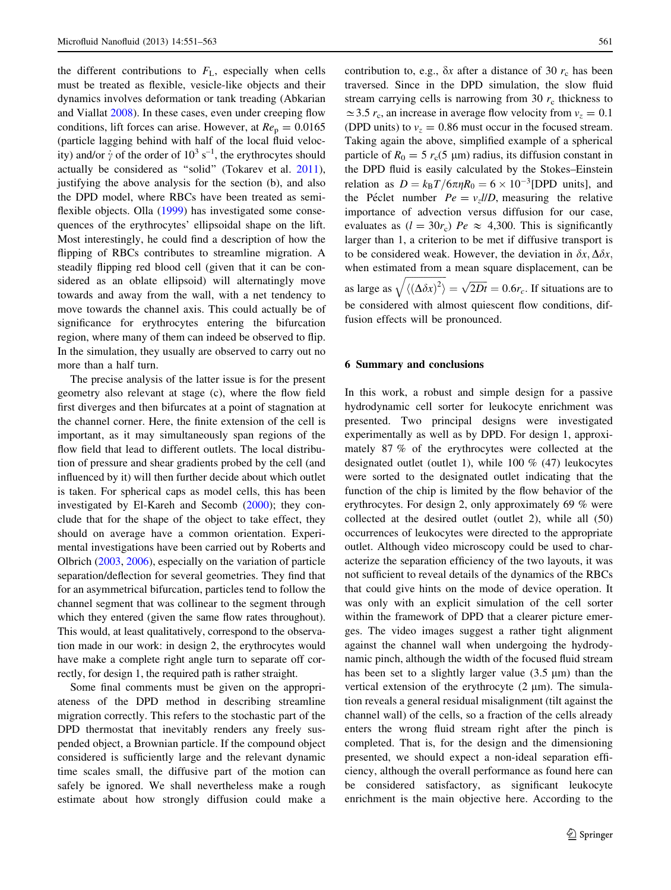the different contributions to  $F<sub>L</sub>$ , especially when cells must be treated as flexible, vesicle-like objects and their dynamics involves deformation or tank treading (Abkarian and Viallat [2008](#page-11-0)). In these cases, even under creeping flow conditions, lift forces can arise. However, at  $Re_p = 0.0165$ (particle lagging behind with half of the local fluid velocity) and/or  $\dot{\gamma}$  of the order of  $10^3$  s<sup>-1</sup>, the erythrocytes should actually be considered as ''solid'' (Tokarev et al. [2011](#page-11-0)), justifying the above analysis for the section (b), and also the DPD model, where RBCs have been treated as semi-flexible objects. Olla ([1999\)](#page-11-0) has investigated some consequences of the erythrocytes' ellipsoidal shape on the lift. Most interestingly, he could find a description of how the flipping of RBCs contributes to streamline migration. A steadily flipping red blood cell (given that it can be considered as an oblate ellipsoid) will alternatingly move towards and away from the wall, with a net tendency to move towards the channel axis. This could actually be of significance for erythrocytes entering the bifurcation region, where many of them can indeed be observed to flip. In the simulation, they usually are observed to carry out no more than a half turn.

The precise analysis of the latter issue is for the present geometry also relevant at stage (c), where the flow field first diverges and then bifurcates at a point of stagnation at the channel corner. Here, the finite extension of the cell is important, as it may simultaneously span regions of the flow field that lead to different outlets. The local distribution of pressure and shear gradients probed by the cell (and influenced by it) will then further decide about which outlet is taken. For spherical caps as model cells, this has been investigated by El-Kareh and Secomb ([2000\)](#page-11-0); they conclude that for the shape of the object to take effect, they should on average have a common orientation. Experimental investigations have been carried out by Roberts and Olbrich [\(2003](#page-11-0), [2006](#page-11-0)), especially on the variation of particle separation/deflection for several geometries. They find that for an asymmetrical bifurcation, particles tend to follow the channel segment that was collinear to the segment through which they entered (given the same flow rates throughout). This would, at least qualitatively, correspond to the observation made in our work: in design 2, the erythrocytes would have make a complete right angle turn to separate off correctly, for design 1, the required path is rather straight.

Some final comments must be given on the appropriateness of the DPD method in describing streamline migration correctly. This refers to the stochastic part of the DPD thermostat that inevitably renders any freely suspended object, a Brownian particle. If the compound object considered is sufficiently large and the relevant dynamic time scales small, the diffusive part of the motion can safely be ignored. We shall nevertheless make a rough estimate about how strongly diffusion could make a contribution to, e.g.,  $\delta x$  after a distance of 30  $r_c$  has been traversed. Since in the DPD simulation, the slow fluid stream carrying cells is narrowing from 30  $r_c$  thickness to  $\simeq$  3.5  $r_c$ , an increase in average flow velocity from  $v_z = 0.1$ (DPD units) to  $v_z = 0.86$  must occur in the focused stream. Taking again the above, simplified example of a spherical particle of  $R_0 = 5 r_c(5 \text{ }\mu\text{m})$  radius, its diffusion constant in the DPD fluid is easily calculated by the Stokes–Einstein relation as  $D = k_B T / 6 \pi \eta R_0 = 6 \times 10^{-3}$ [DPD units], and the Péclet number  $Pe = v_z l/D$ , measuring the relative importance of advection versus diffusion for our case, evaluates as  $(l = 30r_c)$   $Pe \approx 4,300$ . This is significantly larger than 1, a criterion to be met if diffusive transport is to be considered weak. However, the deviation in  $\delta x$ ,  $\Delta \delta x$ , when estimated from a mean square displacement, can be as large as  $\frac{1}{\sqrt{2}}$  $\langle (\Delta \delta x)^2 \rangle$  $\sqrt{\langle (\Delta \delta x)^2 \rangle} = \sqrt{2Dt} = 0.6r_c$ . If situations are to be considered with almost quiescent flow conditions, diffusion effects will be pronounced.

## 6 Summary and conclusions

In this work, a robust and simple design for a passive hydrodynamic cell sorter for leukocyte enrichment was presented. Two principal designs were investigated experimentally as well as by DPD. For design 1, approximately 87 % of the erythrocytes were collected at the designated outlet (outlet 1), while 100 % (47) leukocytes were sorted to the designated outlet indicating that the function of the chip is limited by the flow behavior of the erythrocytes. For design 2, only approximately 69 % were collected at the desired outlet (outlet 2), while all (50) occurrences of leukocytes were directed to the appropriate outlet. Although video microscopy could be used to characterize the separation efficiency of the two layouts, it was not sufficient to reveal details of the dynamics of the RBCs that could give hints on the mode of device operation. It was only with an explicit simulation of the cell sorter within the framework of DPD that a clearer picture emerges. The video images suggest a rather tight alignment against the channel wall when undergoing the hydrodynamic pinch, although the width of the focused fluid stream has been set to a slightly larger value  $(3.5 \mu m)$  than the vertical extension of the erythrocyte  $(2 \mu m)$ . The simulation reveals a general residual misalignment (tilt against the channel wall) of the cells, so a fraction of the cells already enters the wrong fluid stream right after the pinch is completed. That is, for the design and the dimensioning presented, we should expect a non-ideal separation efficiency, although the overall performance as found here can be considered satisfactory, as significant leukocyte enrichment is the main objective here. According to the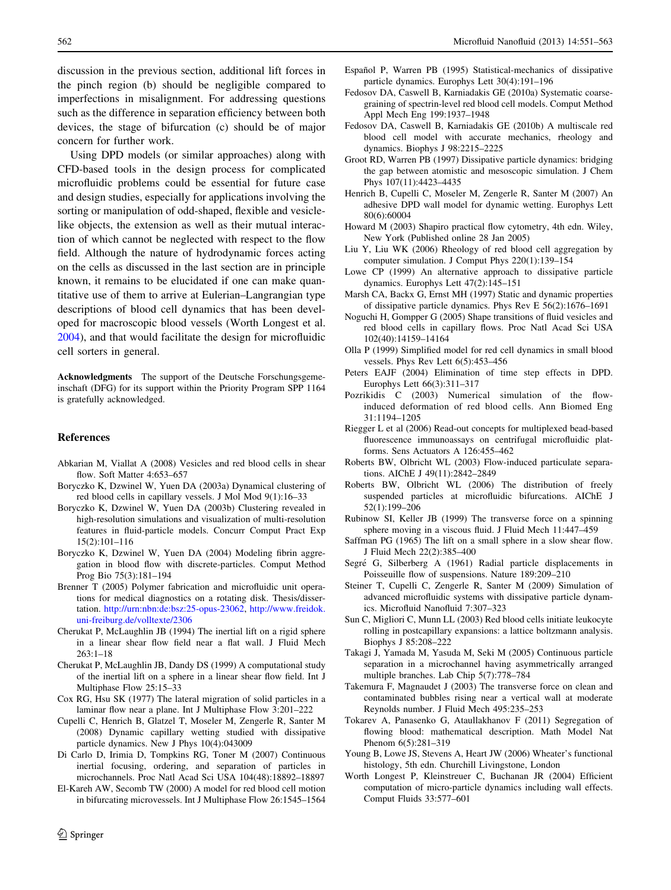<span id="page-11-0"></span>discussion in the previous section, additional lift forces in the pinch region (b) should be negligible compared to imperfections in misalignment. For addressing questions such as the difference in separation efficiency between both devices, the stage of bifurcation (c) should be of major concern for further work.

Using DPD models (or similar approaches) along with CFD-based tools in the design process for complicated microfluidic problems could be essential for future case and design studies, especially for applications involving the sorting or manipulation of odd-shaped, flexible and vesiclelike objects, the extension as well as their mutual interaction of which cannot be neglected with respect to the flow field. Although the nature of hydrodynamic forces acting on the cells as discussed in the last section are in principle known, it remains to be elucidated if one can make quantitative use of them to arrive at Eulerian–Langrangian type descriptions of blood cell dynamics that has been developed for macroscopic blood vessels (Worth Longest et al. 2004), and that would facilitate the design for microfluidic cell sorters in general.

Acknowledgments The support of the Deutsche Forschungsgemeinschaft (DFG) for its support within the Priority Program SPP 1164 is gratefully acknowledged.

## References

- Abkarian M, Viallat A (2008) Vesicles and red blood cells in shear flow. Soft Matter 4:653–657
- Boryczko K, Dzwinel W, Yuen DA (2003a) Dynamical clustering of red blood cells in capillary vessels. J Mol Mod 9(1):16–33
- Boryczko K, Dzwinel W, Yuen DA (2003b) Clustering revealed in high-resolution simulations and visualization of multi-resolution features in fluid-particle models. Concurr Comput Pract Exp 15(2):101–116
- Boryczko K, Dzwinel W, Yuen DA (2004) Modeling fibrin aggregation in blood flow with discrete-particles. Comput Method Prog Bio 75(3):181–194
- Brenner T (2005) Polymer fabrication and microfluidic unit operations for medical diagnostics on a rotating disk. Thesis/dissertation. [http://urn:nbn:de:bsz:25-opus-23062,](http://urn:nbn:de:bsz:25-opus-23062) [http://www.freidok.](http://www.freidok.uni-freiburg.de/volltexte/2306) [uni-freiburg.de/volltexte/2306](http://www.freidok.uni-freiburg.de/volltexte/2306)
- Cherukat P, McLaughlin JB (1994) The inertial lift on a rigid sphere in a linear shear flow field near a flat wall. J Fluid Mech 263:1–18
- Cherukat P, McLaughlin JB, Dandy DS (1999) A computational study of the inertial lift on a sphere in a linear shear flow field. Int J Multiphase Flow 25:15–33
- Cox RG, Hsu SK (1977) The lateral migration of solid particles in a laminar flow near a plane. Int J Multiphase Flow 3:201–222
- Cupelli C, Henrich B, Glatzel T, Moseler M, Zengerle R, Santer M (2008) Dynamic capillary wetting studied with dissipative particle dynamics. New J Phys 10(4):043009
- Di Carlo D, Irimia D, Tompkins RG, Toner M (2007) Continuous inertial focusing, ordering, and separation of particles in microchannels. Proc Natl Acad Sci USA 104(48):18892–18897
- El-Kareh AW, Secomb TW (2000) A model for red blood cell motion in bifurcating microvessels. Int J Multiphase Flow 26:1545–1564
- Español P, Warren PB (1995) Statistical-mechanics of dissipative particle dynamics. Europhys Lett 30(4):191–196
- Fedosov DA, Caswell B, Karniadakis GE (2010a) Systematic coarsegraining of spectrin-level red blood cell models. Comput Method Appl Mech Eng 199:1937–1948
- Fedosov DA, Caswell B, Karniadakis GE (2010b) A multiscale red blood cell model with accurate mechanics, rheology and dynamics. Biophys J 98:2215–2225
- Groot RD, Warren PB (1997) Dissipative particle dynamics: bridging the gap between atomistic and mesoscopic simulation. J Chem Phys 107(11):4423–4435
- Henrich B, Cupelli C, Moseler M, Zengerle R, Santer M (2007) An adhesive DPD wall model for dynamic wetting. Europhys Lett 80(6):60004
- Howard M (2003) Shapiro practical flow cytometry, 4th edn. Wiley, New York (Published online 28 Jan 2005)
- Liu Y, Liu WK (2006) Rheology of red blood cell aggregation by computer simulation. J Comput Phys 220(1):139–154
- Lowe CP (1999) An alternative approach to dissipative particle dynamics. Europhys Lett 47(2):145–151
- Marsh CA, Backx G, Ernst MH (1997) Static and dynamic properties of dissipative particle dynamics. Phys Rev E 56(2):1676–1691
- Noguchi H, Gompper G (2005) Shape transitions of fluid vesicles and red blood cells in capillary flows. Proc Natl Acad Sci USA 102(40):14159–14164
- Olla P (1999) Simplified model for red cell dynamics in small blood vessels. Phys Rev Lett 6(5):453–456
- Peters EAJF (2004) Elimination of time step effects in DPD. Europhys Lett 66(3):311–317
- Pozrikidis C (2003) Numerical simulation of the flowinduced deformation of red blood cells. Ann Biomed Eng 31:1194–1205
- Riegger L et al (2006) Read-out concepts for multiplexed bead-based fluorescence immunoassays on centrifugal microfluidic platforms. Sens Actuators A 126:455–462
- Roberts BW, Olbricht WL (2003) Flow-induced particulate separations. AIChE J 49(11):2842–2849
- Roberts BW, Olbricht WL (2006) The distribution of freely suspended particles at microfluidic bifurcations. AIChE J 52(1):199–206
- Rubinow SI, Keller JB (1999) The transverse force on a spinning sphere moving in a viscous fluid. J Fluid Mech 11:447–459
- Saffman PG (1965) The lift on a small sphere in a slow shear flow. J Fluid Mech 22(2):385–400
- Segré G, Silberberg A (1961) Radial particle displacements in Poisseuille flow of suspensions. Nature 189:209–210
- Steiner T, Cupelli C, Zengerle R, Santer M (2009) Simulation of advanced microfluidic systems with dissipative particle dynamics. Microfluid Nanofluid 7:307–323
- Sun C, Migliori C, Munn LL (2003) Red blood cells initiate leukocyte rolling in postcapillary expansions: a lattice boltzmann analysis. Biophys J 85:208–222
- Takagi J, Yamada M, Yasuda M, Seki M (2005) Continuous particle separation in a microchannel having asymmetrically arranged multiple branches. Lab Chip 5(7):778–784
- Takemura F, Magnaudet J (2003) The transverse force on clean and contaminated bubbles rising near a vertical wall at moderate Reynolds number. J Fluid Mech 495:235–253
- Tokarev A, Panasenko G, Ataullakhanov F (2011) Segregation of flowing blood: mathematical description. Math Model Nat Phenom 6(5):281–319
- Young B, Lowe JS, Stevens A, Heart JW (2006) Wheater's functional histology, 5th edn. Churchill Livingstone, London
- Worth Longest P, Kleinstreuer C, Buchanan JR (2004) Efficient computation of micro-particle dynamics including wall effects. Comput Fluids 33:577–601